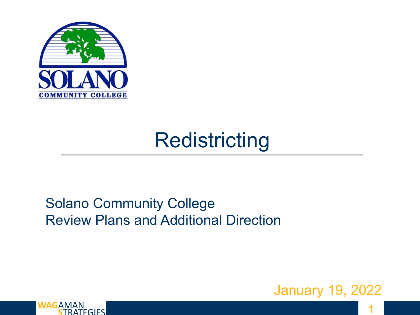

## **Redistricting**

#### Solano Community College Review Plans and Additional Direction



1



**1**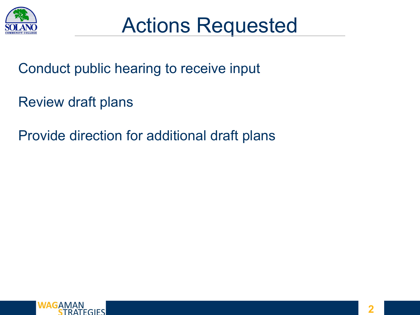

Conduct public hearing to receive input

Review draft plans

Provide direction for additional draft plans

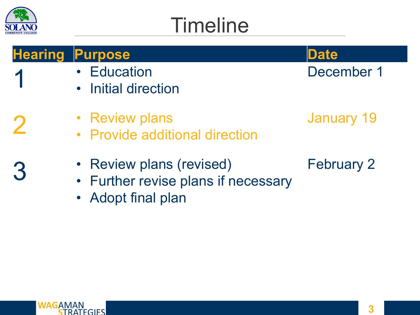

1

2

3

# **Timeline**



- **Education**
- Initial direction



December 1

- Review plans
	- Provide additional direction
	- Review plans (revised)
	- Further revise plans if necessary
	- Adopt final plan
- January 19
- February 2

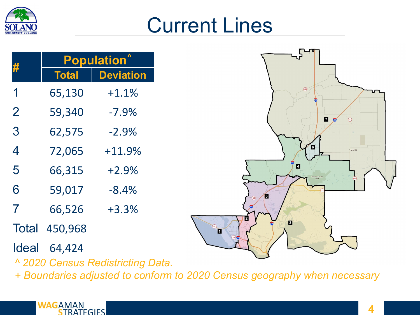

### Current Lines

| #              | <b>Population</b> <sup>^</sup> |                  |
|----------------|--------------------------------|------------------|
|                | <b>Total</b>                   | <b>Deviation</b> |
| 1              | 65,130                         | $+1.1%$          |
| $\overline{2}$ | 59,340                         | $-7.9%$          |
| 3              | 62,575                         | $-2.9%$          |
| 4              | 72,065                         | $+11.9%$         |
| 5              | 66,315                         | $+2.9%$          |
| 6              | 59,017                         | $-8.4%$          |
| 7              | 66,526                         | $+3.3%$          |
|                | <b>Total 450,968</b>           |                  |
| Ideal          | 64,424                         |                  |

*^ 2020 Census Redistricting Data.* 

*+ Boundaries adjusted to conform to 2020 Census geography when necessary*



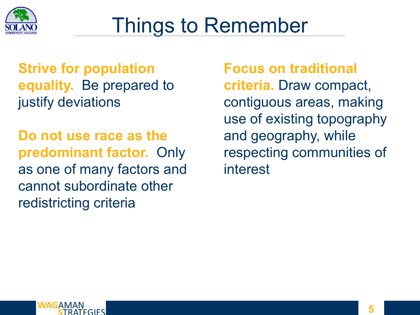

## Things to Remember

**Strive for population equality.** Be prepared to justify deviations

**Do not use race as the predominant factor.** Only as one of many factors and cannot subordinate other redistricting criteria

#### **Focus on traditional**

**criteria.** Draw compact, contiguous areas, making use of existing topography and geography, while respecting communities of interest

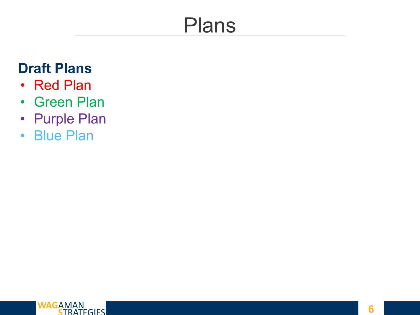## Plans

#### **Draft Plans**

- Red Plan
- Green Plan
- Purple Plan
- Blue Plan